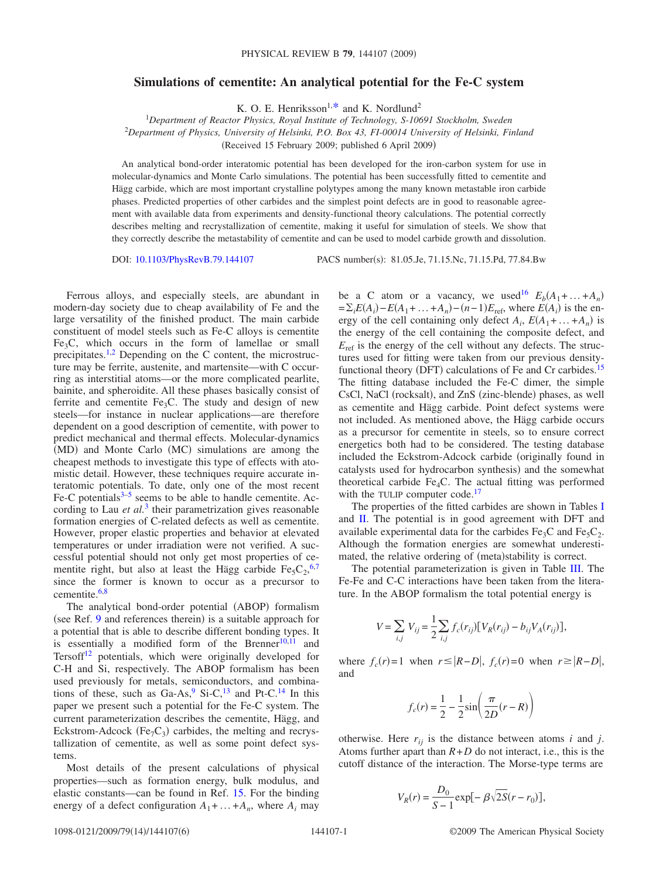## **Simulations of cementite: An analytical potential for the Fe-C system**

K. O. E. Henriksson<sup>1[,\\*](#page-4-0)</sup> and K. Nordlund<sup>2</sup>

1 *Department of Reactor Physics, Royal Institute of Technology, S-10691 Stockholm, Sweden* 2 *Department of Physics, University of Helsinki, P.O. Box 43, FI-00014 University of Helsinki, Finland*

Received 15 February 2009; published 6 April 2009-

An analytical bond-order interatomic potential has been developed for the iron-carbon system for use in molecular-dynamics and Monte Carlo simulations. The potential has been successfully fitted to cementite and Hägg carbide, which are most important crystalline polytypes among the many known metastable iron carbide phases. Predicted properties of other carbides and the simplest point defects are in good to reasonable agreement with available data from experiments and density-functional theory calculations. The potential correctly describes melting and recrystallization of cementite, making it useful for simulation of steels. We show that they correctly describe the metastability of cementite and can be used to model carbide growth and dissolution.

DOI: [10.1103/PhysRevB.79.144107](http://dx.doi.org/10.1103/PhysRevB.79.144107)

PACS number(s): 81.05.Je, 71.15.Nc, 71.15.Pd, 77.84.Bw

Ferrous alloys, and especially steels, are abundant in modern-day society due to cheap availability of Fe and the large versatility of the finished product. The main carbide constituent of model steels such as Fe-C alloys is cementite  $Fe<sub>3</sub>C$ , which occurs in the form of lamellae or small precipitates[.1](#page-4-1)[,2](#page-4-2) Depending on the C content, the microstructure may be ferrite, austenite, and martensite—with C occurring as interstitial atoms—or the more complicated pearlite, bainite, and spheroidite. All these phases basically consist of ferrite and cementite  $Fe<sub>3</sub>C$ . The study and design of new steels—for instance in nuclear applications—are therefore dependent on a good description of cementite, with power to predict mechanical and thermal effects. Molecular-dynamics (MD) and Monte Carlo (MC) simulations are among the cheapest methods to investigate this type of effects with atomistic detail. However, these techniques require accurate interatomic potentials. To date, only one of the most recent Fe-C potentials $3-5$  seems to be able to handle cementite. According to Lau *et al.*<sup>[3](#page-4-3)</sup> their parametrization gives reasonable formation energies of C-related defects as well as cementite. However, proper elastic properties and behavior at elevated temperatures or under irradiation were not verified. A successful potential should not only get most properties of cementite right, but also at least the Hägg carbide  $Fe<sub>5</sub>C<sub>2</sub>$ ,<sup>[6](#page-4-5)[,7](#page-4-6)</sup> since the former is known to occur as a precursor to cementite.<sup>6[,8](#page-4-7)</sup>

The analytical bond-order potential (ABOP) formalism (see Ref. [9](#page-4-8) and references therein) is a suitable approach for a potential that is able to describe different bonding types. It is essentially a modified form of the Brenner<sup>10[,11](#page-4-10)</sup> and Tersoff<sup>12</sup> potentials, which were originally developed for C-H and Si, respectively. The ABOP formalism has been used previously for metals, semiconductors, and combinations of these, such as  $Ga-As$ ,  $9$   $Si-C$ ,  $13$  and Pt-C.<sup>14</sup> In this paper we present such a potential for the Fe-C system. The current parameterization describes the cementite, Hägg, and Eckstrom-Adcock (Fe<sub>7</sub>C<sub>3</sub>) carbides, the melting and recrystallization of cementite, as well as some point defect systems.

Most details of the present calculations of physical properties—such as formation energy, bulk modulus, and elastic constants—can be found in Ref. [15.](#page-4-14) For the binding energy of a defect configuration  $A_1 + ... + A_n$ , where  $A_i$  may

be a C atom or a vacancy, we used<sup>16</sup>  $E_b(A_1 + ... + A_n)$  $=\sum_i E(A_i) - E(A_1 + \dots + A_n) - (n-1)E_{\text{ref}}$ , where  $E(A_i)$  is the energy of the cell containing only defect  $A_i$ ,  $E(A_1 + ... + A_n)$  is the energy of the cell containing the composite defect, and  $E_{\text{ref}}$  is the energy of the cell without any defects. The structures used for fitting were taken from our previous densityfunctional theory (DFT) calculations of Fe and Cr carbides.<sup>15</sup> The fitting database included the Fe-C dimer, the simple CsCl, NaCl (rocksalt), and ZnS (zinc-blende) phases, as well as cementite and Hägg carbide. Point defect systems were not included. As mentioned above, the Hägg carbide occurs as a precursor for cementite in steels, so to ensure correct energetics both had to be considered. The testing database included the Eckstrom-Adcock carbide (originally found in catalysts used for hydrocarbon synthesis) and the somewhat theoretical carbide Fe<sub>4</sub>C. The actual fitting was performed with the TULIP computer code.<sup>17</sup>

The properties of the fitted carbides are shown in Tables [I](#page-1-0) and  $II$ . The potential is in good agreement with DFT and available experimental data for the carbides Fe<sub>3</sub>C and Fe<sub>5</sub>C<sub>2</sub>. Although the formation energies are somewhat underestimated, the relative ordering of (meta)stability is correct.

The potential parameterization is given in Table [III.](#page-2-0) The Fe-Fe and C-C interactions have been taken from the literature. In the ABOP formalism the total potential energy is

$$
V = \sum_{i,j} V_{ij} = \frac{1}{2} \sum_{i,j} f_c(r_{ij}) [V_R(r_{ij}) - b_{ij} V_A(r_{ij})],
$$

where  $f_c(r) = 1$  when  $r \le |R - D|$ ,  $f_c(r) = 0$  when  $r \ge |R - D|$ , and

$$
f_c(r) = \frac{1}{2} - \frac{1}{2}\sin\left(\frac{\pi}{2D}(r - R)\right)
$$

otherwise. Here  $r_{ij}$  is the distance between atoms *i* and *j*. Atoms further apart than  $R + D$  do not interact, i.e., this is the cutoff distance of the interaction. The Morse-type terms are

$$
V_R(r) = \frac{D_0}{S - 1} \exp[-\beta \sqrt{2S}(r - r_0)],
$$

144107-1 ©2009 The American Physical Society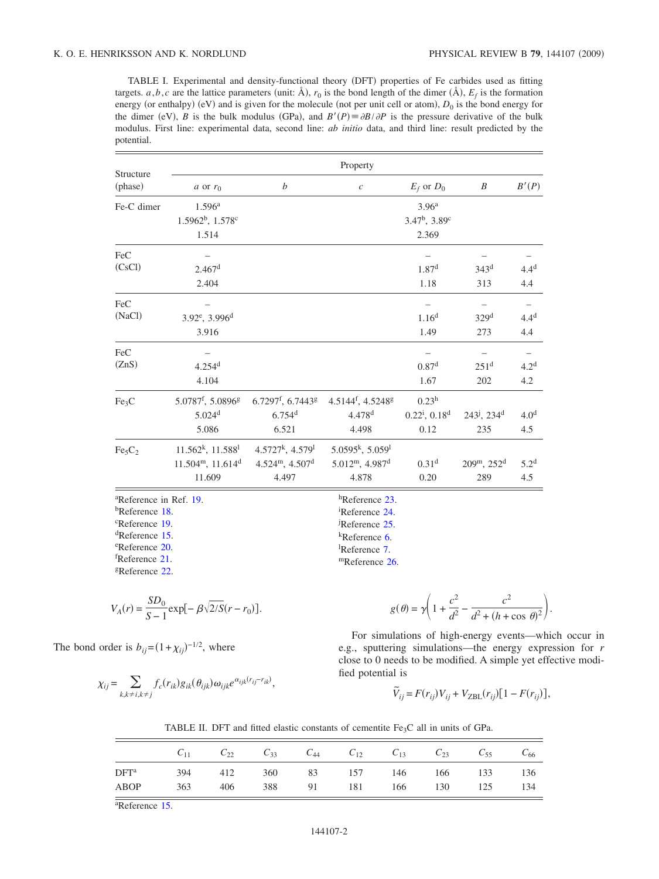<span id="page-1-0"></span>TABLE I. Experimental and density-functional theory (DFT) properties of Fe carbides used as fitting targets.  $a, b, c$  are the lattice parameters (unit:  $\mathring{A}$ ),  $r_0$  is the bond length of the dimer  $(\mathring{A})$ ,  $E_f$  is the formation energy (or enthalpy) (eV) and is given for the molecule (not per unit cell or atom),  $D_0$  is the bond energy for the dimer (eV), *B* is the bulk modulus (GPa), and  $B'(P) = \partial B/\partial P$  is the pressure derivative of the bulk modulus. First line: experimental data, second line: *ab initio* data, and third line: result predicted by the potential.

| Structure                          | Property                               |                                         |                                           |                     |                                         |                   |  |  |  |
|------------------------------------|----------------------------------------|-----------------------------------------|-------------------------------------------|---------------------|-----------------------------------------|-------------------|--|--|--|
| (phase)                            | a or $r_0$                             | b                                       | $\boldsymbol{c}$                          | $E_f$ or $D_0$      | $\boldsymbol{B}$                        | B'(P)             |  |  |  |
| Fe-C dimer                         | 1.596 <sup>a</sup>                     |                                         |                                           | 3.96 <sup>a</sup>   |                                         |                   |  |  |  |
|                                    | $1.5962^b$ , $1.578^c$                 |                                         |                                           | $3.47^b$ , $3.89^c$ |                                         |                   |  |  |  |
|                                    | 1.514                                  |                                         |                                           | 2.369               |                                         |                   |  |  |  |
| FeC                                |                                        |                                         |                                           |                     |                                         |                   |  |  |  |
| (CsCl)                             | 2.467 <sup>d</sup>                     |                                         |                                           | 1.87 <sup>d</sup>   | 343 <sup>d</sup>                        | 4.4 <sup>d</sup>  |  |  |  |
|                                    | 2.404                                  |                                         |                                           | 1.18                | 313                                     | 4.4               |  |  |  |
| FeC                                |                                        |                                         |                                           |                     | $\overline{\phantom{0}}$                | $\qquad \qquad -$ |  |  |  |
| (NaCl)                             | 3.92 <sup>e</sup> , 3.996 <sup>d</sup> |                                         |                                           | 1.16 <sup>d</sup>   | 329 <sup>d</sup>                        | 4.4 <sup>d</sup>  |  |  |  |
|                                    | 3.916                                  |                                         |                                           | 1.49                | 273                                     | 4.4               |  |  |  |
| FeC                                |                                        |                                         |                                           |                     |                                         |                   |  |  |  |
| (ZnS)                              | $4.254$ <sup>d</sup>                   |                                         |                                           | 0.87 <sup>d</sup>   | 251 <sup>d</sup>                        | 4.2 <sup>d</sup>  |  |  |  |
|                                    | 4.104                                  |                                         |                                           | 1.67                | 202                                     | 4.2               |  |  |  |
| Fe <sub>3</sub> C                  | 5.0787f, 5.0896g                       | $6.7297^{\rm f}, 6.7443^{\rm g}$        | 4.5144 <sup>f</sup> , 4.5248 <sup>g</sup> | $0.23^h$            |                                         |                   |  |  |  |
|                                    | 5.024 <sup>d</sup>                     | 6.754 <sup>d</sup>                      | 4.478 <sup>d</sup>                        | $0.22^i$ , $0.18^d$ | $243^{\mathrm{j}}$ , $234^{\mathrm{d}}$ | 4.0 <sup>d</sup>  |  |  |  |
|                                    | 5.086                                  | 6.521                                   | 4.498                                     | 0.12                | 235                                     | 4.5               |  |  |  |
| Fe <sub>5</sub> C <sub>2</sub>     | $11.562^k$ , $11.588^l$                | $4.5727^k$ , $4.579^l$                  | 5.0595 <sup>k</sup> , 5.059 <sup>l</sup>  |                     |                                         |                   |  |  |  |
|                                    | $11.504m$ , $11.614d$                  | 4.524 <sup>m</sup> , 4.507 <sup>d</sup> | $5.012^{\rm m}$ , 4.987 <sup>d</sup>      | 0.31 <sup>d</sup>   | $209^{\rm m}$ , $252^{\rm d}$           | $5.2^{\rm d}$     |  |  |  |
|                                    | 11.609                                 | 4.497                                   | 4.878                                     | 0.20                | 289                                     | 4.5               |  |  |  |
| <sup>a</sup> Reference in Ref. 19. |                                        |                                         | <sup>h</sup> Reference 23.                |                     |                                         |                   |  |  |  |
| <sup>b</sup> Reference 18.         |                                        |                                         | <sup>i</sup> Reference 24.                |                     |                                         |                   |  |  |  |
| <sup>c</sup> Reference 19.         |                                        |                                         | JReference 25.                            |                     |                                         |                   |  |  |  |
| <sup>d</sup> Reference 15.         |                                        |                                         | $k$ Reference 6.                          |                     |                                         |                   |  |  |  |
| <sup>e</sup> Reference 20.         |                                        |                                         | ${}^{1}$ Reference 7.                     |                     |                                         |                   |  |  |  |
| <sup>f</sup> Reference 21.         |                                        |                                         | <sup>m</sup> Reference 26.                |                     |                                         |                   |  |  |  |
| <sup>g</sup> Reference 22.         |                                        |                                         |                                           |                     |                                         |                   |  |  |  |

$$
V_A(r) = \frac{SD_0}{S - 1} \exp[-\beta \sqrt{2/S}(r - r_0)].
$$

$$
g(\theta) = \gamma \left( 1 + \frac{c^2}{d^2} - \frac{c^2}{d^2 + (h + \cos \theta)^2} \right).
$$

The bond order is  $b_{ij} = (1 + \chi_{ij})^{-1/2}$ , where

$$
\chi_{ij} = \sum_{k,k \neq i, k \neq j} f_c(r_{ik}) g_{ik}(\theta_{ijk}) \omega_{ijk} e^{\alpha_{ijk}(r_{ij} - r_{ik})},
$$

For simulations of high-energy events—which occur in e.g., sputtering simulations—the energy expression for *r* close to 0 needs to be modified. A simple yet effective modified potential is

$$
\widetilde{V}_{ij} = F(r_{ij})V_{ij} + V_{ZBL}(r_{ij})[1 - F(r_{ij})],
$$

| TABLE II. DFT and fitted elastic constants of cementite $Fe2C$ all in units of GPa. |  |
|-------------------------------------------------------------------------------------|--|
|-------------------------------------------------------------------------------------|--|

<span id="page-1-1"></span>

|                                    |         | $C_{11}$ $C_{22}$ $C_{33}$ $C_{44}$ $C_{12}$ $C_{13}$ $C_{23}$ $C_{55}$ $C_{66}$ |                            |  |  |  |
|------------------------------------|---------|----------------------------------------------------------------------------------|----------------------------|--|--|--|
| $\mathrm{DFT}^\mathrm{a}$          |         | 394 412                                                                          | 360 83 157 146 166 133 136 |  |  |  |
| ABOP                               | 363 406 |                                                                                  | 388 91 181 166 130 125 134 |  |  |  |
| $\sim$ $\sim$ $\sim$ $\sim$ $\sim$ |         |                                                                                  |                            |  |  |  |

a Reference [15.](#page-4-14)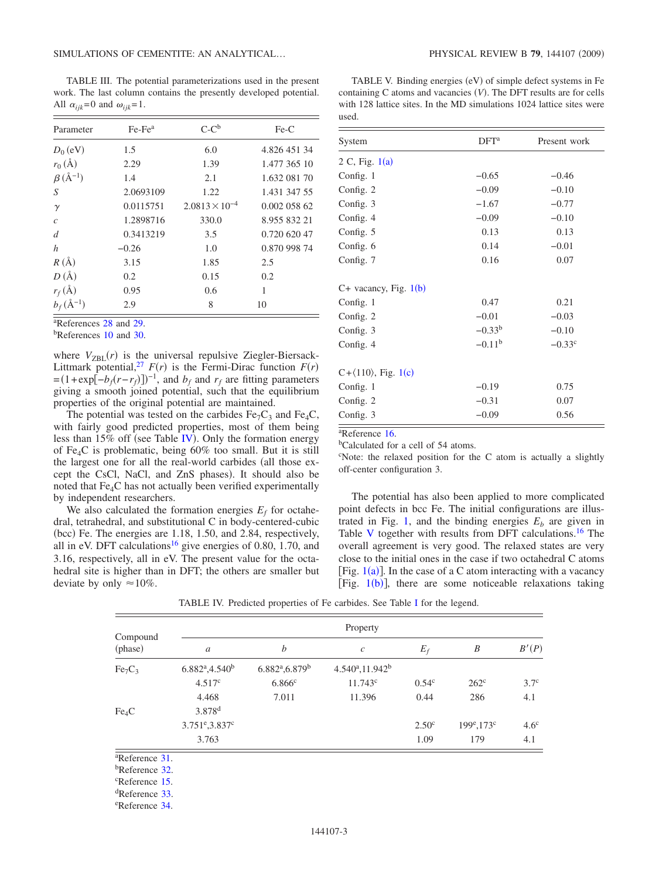<span id="page-2-0"></span>TABLE III. The potential parameterizations used in the present work. The last column contains the presently developed potential. All  $\alpha_{ijk} = 0$  and  $\omega_{ijk} = 1$ .

| Parameter                  | $Fe-Fea$  | $C-C^b$                 | $Fe-C$       |
|----------------------------|-----------|-------------------------|--------------|
| $D_0$ (eV)                 | 1.5       | 6.0                     | 4.826 451 34 |
| $r_0(\AA)$                 | 2.29      | 1.39                    | 1.477 365 10 |
| $\beta$ (Å <sup>-1</sup> ) | 1.4       | 2.1                     | 1.632 081 70 |
| S                          | 2.0693109 | 1.22                    | 1.431 347 55 |
| $\gamma$                   | 0.0115751 | $2.0813 \times 10^{-4}$ | 0.002 058 62 |
| $\mathcal{C}$              | 1.2898716 | 330.0                   | 8.955 832 21 |
| d                          | 0.3413219 | 3.5                     | 0.720 620 47 |
| h                          | $-0.26$   | 1.0                     | 0.870 998 74 |
| $R(\AA)$                   | 3.15      | 1.85                    | 2.5          |
| $D(\AA)$                   | 0.2       | 0.15                    | 0.2          |
| $r_f(\text{\AA})$          | 0.95      | 0.6                     | 1            |
| $b_f(A^{-1})$              | 2.9       | 8                       | 10           |

a References [28](#page-5-7) and [29.](#page-5-8)

<sup>b</sup>References [10](#page-4-9) and [30.](#page-5-9)

where  $V_{\text{ZBL}}(r)$  is the universal repulsive Ziegler-Biersack-Littmark potential,<sup>27</sup>  $F(r)$  is the Fermi-Dirac function  $F(r)$  $=(1+\exp[-b_f(r-r_f)])^{-1}$ , and  $b_f$  and  $r_f$  are fitting parameters giving a smooth joined potential, such that the equilibrium properties of the original potential are maintained.

The potential was tested on the carbides  $Fe<sub>7</sub>C<sub>3</sub>$  and  $Fe<sub>4</sub>C$ , with fairly good predicted properties, most of them being less than  $15\%$  off (see Table [IV](#page-2-1)). Only the formation energy of Fe4C is problematic, being 60% too small. But it is still the largest one for all the real-world carbides (all those except the CsCl, NaCl, and ZnS phases). It should also be noted that Fe4C has not actually been verified experimentally by independent researchers.

We also calculated the formation energies  $E_f$  for octahedral, tetrahedral, and substitutional C in body-centered-cubic (bcc) Fe. The energies are 1.18, 1.50, and 2.84, respectively, all in eV. DFT calculations<sup>16</sup> give energies of 0.80, 1.70, and 3.16, respectively, all in eV. The present value for the octahedral site is higher than in DFT; the others are smaller but deviate by only  $\approx 10\%$ .

<span id="page-2-2"></span>TABLE V. Binding energies (eV) of simple defect systems in Fe containing  $C$  atoms and vacancies  $(V)$ . The DFT results are for cells with 128 lattice sites. In the MD simulations 1024 lattice sites were used.

| System                                | DFT <sup>a</sup> | Present work    |
|---------------------------------------|------------------|-----------------|
| 2 C, Fig. $1(a)$                      |                  |                 |
| Config. 1                             | $-0.65$          | $-0.46$         |
| Config. 2                             | $-0.09$          | $-0.10$         |
| Config. 3                             | $-1.67$          | $-0.77$         |
| Config. 4                             | $-0.09$          | $-0.10$         |
| Config. 5                             | 0.13             | 0.13            |
| Config. 6                             | 0.14             | $-0.01$         |
| Config. 7                             | 0.16             | 0.07            |
| $C+$ vacancy, Fig. 1(b)               |                  |                 |
| Config. 1                             | 0.47             | 0.21            |
| Config. 2                             | $-0.01$          | $-0.03$         |
| Config. 3                             | $-0.33b$         | $-0.10$         |
| Config. 4                             | $-0.11^{b}$      | $-0.33^{\circ}$ |
| $C + \langle 110 \rangle$ , Fig. 1(c) |                  |                 |
| Config. 1                             | $-0.19$          | 0.75            |
| Config. 2                             | $-0.31$          | 0.07            |
| Config. 3                             | $-0.09$          | 0.56            |

a Reference [16.](#page-4-15)

bCalculated for a cell of 54 atoms.

c Note: the relaxed position for the C atom is actually a slightly off-center configuration 3.

The potential has also been applied to more complicated point defects in bcc Fe. The initial configurations are illus-trated in Fig. [1,](#page-3-0) and the binding energies  $E<sub>b</sub>$  are given in Table [V](#page-2-2) together with results from DFT calculations.<sup>16</sup> The overall agreement is very good. The relaxed states are very close to the initial ones in the case if two octahedral C atoms [Fig.  $1(a)$  $1(a)$ ]. In the case of a C atom interacting with a vacancy [Fig.  $1(b)$  $1(b)$ ], there are some noticeable relaxations taking

<span id="page-2-1"></span>

| Compound<br>(phase)            | Property                                  |                                           |                     |                   |                            |                  |  |  |  |
|--------------------------------|-------------------------------------------|-------------------------------------------|---------------------|-------------------|----------------------------|------------------|--|--|--|
|                                | $\boldsymbol{a}$                          | $\boldsymbol{b}$                          | $\boldsymbol{c}$    | $E_f$             | B                          | B'(P)            |  |  |  |
| Fe <sub>7</sub> C <sub>3</sub> | $6.882^{\mathrm{a}}$ , 4.540 <sup>b</sup> | $6.882^{\mathrm{a}}$ , 6.879 <sup>b</sup> | $4.540^a, 11.942^b$ |                   |                            |                  |  |  |  |
|                                | 4.517c                                    | 6.866c                                    | 11.743c             | 0.54 <sup>c</sup> | $262^{\circ}$              | 3.7 <sup>c</sup> |  |  |  |
|                                | 4.468                                     | 7.011                                     | 11.396              | 0.44              | 286                        | 4.1              |  |  |  |
| $Fe_4C$                        | 3.878 <sup>d</sup>                        |                                           |                     |                   |                            |                  |  |  |  |
|                                | 3.751 <sup>e</sup> , 3.837 <sup>c</sup>   |                                           |                     | 2.50 <sup>c</sup> | $199^{\circ}, 173^{\circ}$ | 4.6 <sup>c</sup> |  |  |  |
|                                | 3.763                                     |                                           |                     | 1.09              | 179                        | 4.1              |  |  |  |
| <sup>a</sup> Reference 31.     |                                           |                                           |                     |                   |                            |                  |  |  |  |

TABLE IV. Predicted properties of Fe carbides. See Table [I](#page-1-0) for the legend.

Reference [31.](#page-5-3)

bReference [32.](#page-5-4)

c Reference [15.](#page-4-14)

dReference [33.](#page-5-5)

e Reference [34.](#page-5-6)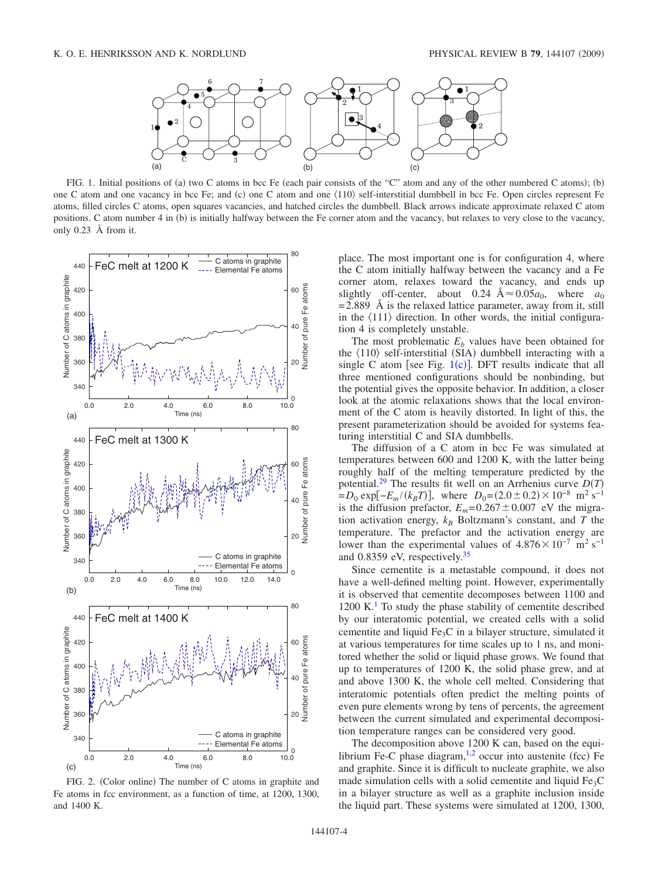

<span id="page-3-0"></span>FIG. 1. Initial positions of (a) two C atoms in bcc Fe (each pair consists of the "C" atom and any of the other numbered C atoms); (b) one C atom and one vacancy in bcc Fe; and (c) one C atom and one  $\langle 110 \rangle$  self-interstitial dumbbell in bcc Fe. Open circles represent Fe atoms, filled circles C atoms, open squares vacancies, and hatched circles the dumbbell. Black arrows indicate approximate relaxed C atom positions. C atom number 4 in (b) is initially halfway between the Fe corner atom and the vacancy, but relaxes to very close to the vacancy, only 0.23 Å from it.

<span id="page-3-1"></span>

FIG. 2. (Color online) The number of C atoms in graphite and Fe atoms in fcc environment, as a function of time, at 1200, 1300, and 1400 K.

place. The most important one is for configuration 4, where the C atom initially halfway between the vacancy and a Fe corner atom, relaxes toward the vacancy, and ends up slightly off-center, about 0.24  $A \approx 0.05a_0$ , where  $a_0$  $= 2.889$  Å is the relaxed lattice parameter, away from it, still in the  $\langle 111 \rangle$  direction. In other words, the initial configuration 4 is completely unstable.

The most problematic  $E<sub>b</sub>$  values have been obtained for the  $\langle 110 \rangle$  self-interstitial (SIA) dumbbell interacting with a single C atom [see Fig.  $1(c)$  $1(c)$ ]. DFT results indicate that all three mentioned configurations should be nonbinding, but the potential gives the opposite behavior. In addition, a closer look at the atomic relaxations shows that the local environment of the C atom is heavily distorted. In light of this, the present parameterization should be avoided for systems featuring interstitial C and SIA dumbbells.

The diffusion of a C atom in bcc Fe was simulated at temperatures between 600 and 1200 K, with the latter being roughly half of the melting temperature predicted by the potential.<sup>29</sup> The results fit well on an Arrhenius curve  $D(T)$  $= D_0 \exp[-E_m/(k_B T)]$ , where  $D_0 = (2.0 \pm 0.2) \times 10^{-8} \text{ m}^2 \text{ s}^{-1}$ is the diffusion prefactor,  $E_m = 0.267 \pm 0.007$  eV the migration activation energy,  $k_B$  Boltzmann's constant, and *T* the temperature. The prefactor and the activation energy are lower than the experimental values of  $4.876 \times 10^{-7}$  m<sup>2</sup> s<sup>-1</sup> and 0.8359 eV, respectively[.35](#page-5-10)

Since cementite is a metastable compound, it does not have a well-defined melting point. However, experimentally it is observed that cementite decomposes between 1100 and  $1200 \text{ K}$ .<sup>1</sup> To study the phase stability of cementite described by our interatomic potential, we created cells with a solid cementite and liquid Fe3C in a bilayer structure, simulated it at various temperatures for time scales up to 1 ns, and monitored whether the solid or liquid phase grows. We found that up to temperatures of 1200 K, the solid phase grew, and at and above 1300 K, the whole cell melted. Considering that interatomic potentials often predict the melting points of even pure elements wrong by tens of percents, the agreement between the current simulated and experimental decomposition temperature ranges can be considered very good.

The decomposition above 1200 K can, based on the equilibrium Fe-C phase diagram, $1,2$  $1,2$  occur into austenite (fcc) Fe and graphite. Since it is difficult to nucleate graphite, we also made simulation cells with a solid cementite and liquid  $Fe<sub>3</sub>C$ in a bilayer structure as well as a graphite inclusion inside the liquid part. These systems were simulated at 1200, 1300,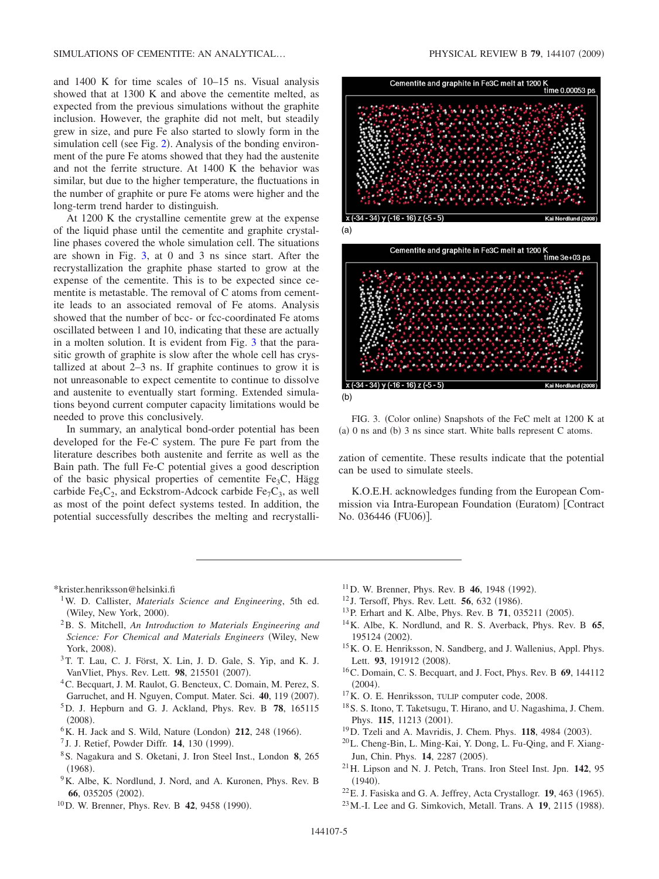and 1400 K for time scales of 10–15 ns. Visual analysis showed that at 1300 K and above the cementite melted, as expected from the previous simulations without the graphite inclusion. However, the graphite did not melt, but steadily grew in size, and pure Fe also started to slowly form in the simulation cell (see Fig. [2](#page-3-1)). Analysis of the bonding environment of the pure Fe atoms showed that they had the austenite and not the ferrite structure. At 1400 K the behavior was similar, but due to the higher temperature, the fluctuations in the number of graphite or pure Fe atoms were higher and the long-term trend harder to distinguish.

At 1200 K the crystalline cementite grew at the expense of the liquid phase until the cementite and graphite crystalline phases covered the whole simulation cell. The situations are shown in Fig. [3,](#page-4-23) at 0 and 3 ns since start. After the recrystallization the graphite phase started to grow at the expense of the cementite. This is to be expected since cementite is metastable. The removal of C atoms from cementite leads to an associated removal of Fe atoms. Analysis showed that the number of bcc- or fcc-coordinated Fe atoms oscillated between 1 and 10, indicating that these are actually in a molten solution. It is evident from Fig. [3](#page-4-23) that the parasitic growth of graphite is slow after the whole cell has crystallized at about 2–3 ns. If graphite continues to grow it is not unreasonable to expect cementite to continue to dissolve and austenite to eventually start forming. Extended simulations beyond current computer capacity limitations would be needed to prove this conclusively.

In summary, an analytical bond-order potential has been developed for the Fe-C system. The pure Fe part from the literature describes both austenite and ferrite as well as the Bain path. The full Fe-C potential gives a good description of the basic physical properties of cementite Fe<sub>3</sub>C, Hägg carbide Fe<sub>5</sub>C<sub>2</sub>, and Eckstrom-Adcock carbide Fe<sub>7</sub>C<sub>3</sub>, as well as most of the point defect systems tested. In addition, the potential successfully describes the melting and recrystalliPHYSICAL REVIEW B 79, 144107 (2009)

<span id="page-4-23"></span>



FIG. 3. (Color online) Snapshots of the FeC melt at 1200 K at (a) 0 ns and (b) 3 ns since start. White balls represent C atoms.

zation of cementite. These results indicate that the potential can be used to simulate steels.

K.O.E.H. acknowledges funding from the European Commission via Intra-European Foundation (Euratom) [Contract No. 036446 (FU06)].

\*krister.henriksson@helsinki.fi

- <span id="page-4-0"></span>1W. D. Callister, *Materials Science and Engineering*, 5th ed. (Wiley, New York, 2000).
- <span id="page-4-1"></span>2B. S. Mitchell, *An Introduction to Materials Engineering and Science: For Chemical and Materials Engineers* Wiley, New York, 2008).
- <span id="page-4-2"></span>3T. T. Lau, C. J. Först, X. Lin, J. D. Gale, S. Yip, and K. J. VanVliet, Phys. Rev. Lett. 98, 215501 (2007).
- <span id="page-4-3"></span>4C. Becquart, J. M. Raulot, G. Bencteux, C. Domain, M. Perez, S. Garruchet, and H. Nguyen, Comput. Mater. Sci. 40, 119 (2007).
- 5D. J. Hepburn and G. J. Ackland, Phys. Rev. B **78**, 165115  $(2008).$
- <span id="page-4-4"></span><sup>6</sup>K. H. Jack and S. Wild, Nature (London) 212, 248 (1966).
- <sup>7</sup> J. J. Retief, Powder Diffr. **14**, 130 (1999).
- <span id="page-4-6"></span><span id="page-4-5"></span>8S. Nagakura and S. Oketani, J. Iron Steel Inst., London **8**, 265  $(1968).$
- <span id="page-4-7"></span><sup>9</sup>K. Albe, K. Nordlund, J. Nord, and A. Kuronen, Phys. Rev. B 66, 035205 (2002).
- <span id="page-4-9"></span><span id="page-4-8"></span><sup>10</sup>D. W. Brenner, Phys. Rev. B **42**, 9458 (1990).
- <sup>11</sup>D. W. Brenner, Phys. Rev. B **46**, 1948 (1992).
- <sup>12</sup> J. Tersoff, Phys. Rev. Lett. **56**, 632 (1986).
- <span id="page-4-10"></span><sup>13</sup> P. Erhart and K. Albe, Phys. Rev. B **71**, 035211 (2005).
- <span id="page-4-12"></span><span id="page-4-11"></span>14K. Albe, K. Nordlund, and R. S. Averback, Phys. Rev. B **65**, 195124 (2002).
- <span id="page-4-13"></span>15K. O. E. Henriksson, N. Sandberg, and J. Wallenius, Appl. Phys. Lett. 93, 191912 (2008).
- <span id="page-4-14"></span>16C. Domain, C. S. Becquart, and J. Foct, Phys. Rev. B **69**, 144112  $(2004).$
- <span id="page-4-15"></span>17K. O. E. Henriksson, TULIP computer code, 2008.
- <span id="page-4-16"></span>18S. S. Itono, T. Taketsugu, T. Hirano, and U. Nagashima, J. Chem. Phys. 115, 11213 (2001).
- <span id="page-4-18"></span><sup>19</sup>D. Tzeli and A. Mavridis, J. Chem. Phys. **118**, 4984 (2003).
- <span id="page-4-17"></span>20L. Cheng-Bin, L. Ming-Kai, Y. Dong, L. Fu-Qing, and F. Xiang-Jun, Chin. Phys. 14, 2287 (2005).
- <span id="page-4-19"></span>21H. Lipson and N. J. Petch, Trans. Iron Steel Inst. Jpn. **142**, 95  $(1940).$
- <span id="page-4-20"></span> $22$ E. J. Fasiska and G. A. Jeffrey, Acta Crystallogr. **19**, 463 (1965).
- <span id="page-4-22"></span><span id="page-4-21"></span><sup>23</sup> M.-I. Lee and G. Simkovich, Metall. Trans. A **19**, 2115 (1988).